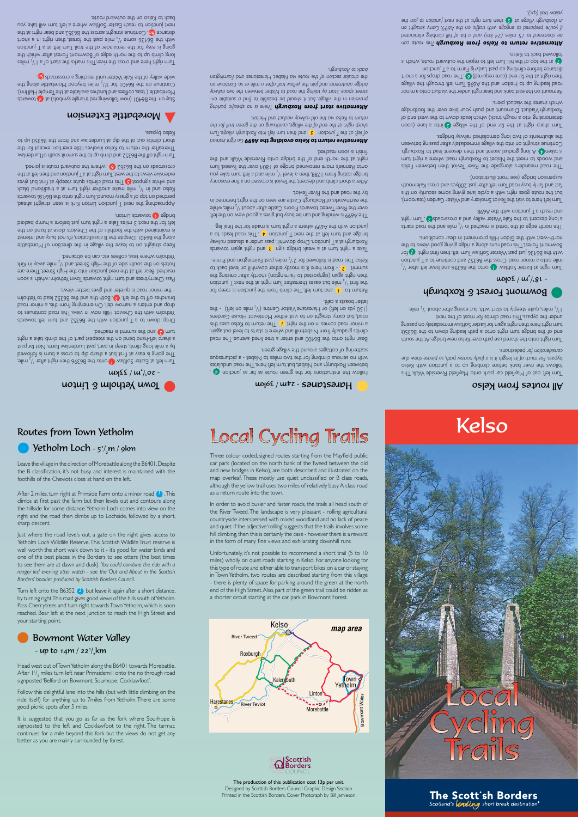

### The production of this publication cost 13p per unit.

Designed by Scottish Borders Council Graphic Design Section. Printed in the Scottish Borders. Cover Photoraph by Bill Jamieson.



### Routes from Town Yetholm

# $u$ inton  $\beta$  culoup  $\beta$

 $u$ γ 22 /  $u<sup>2</sup>/u$ οz -

Turn left at Easter Softlaw  $\bigcup$  onto  $\bigcup$  be B6396 then nght after  $\bigcup$ , mile. bewollot ai mud a eeros ot qib qnade a tud tent ta yeae ai gniog on T by a mile long climb, ateep in part, past Lurdenlaw Farm. Not far past ingin a shat , dmilb on the steepest part of the onlay a right tum **C** and the summit is reached.

Drop down to a T junction with the B6352 and the must define the using the context Hills now in view in the with ethology to bson nonim a teidt mont gnigneme nOulleb woman a snetre bna qonb branches off to the left **(3)** Both the and the B6352 lead to Yetholm es the minor road is quieter and gives better views.

soo cheuse soon is which ethology who is which is about which is 2000 reached. Bear left at the next junction into the High Street. There are  $\lambda$ ii) ni vsws elim  $\lambda^{1}$  bns teent ng il ent to ebis dtuos ent no sleton Yetholm where teas, coffees etc. can be obtained.

Keep straight on to leave the village in the direction of Morebattle tensified by the content of the specific tensified and the specific tension of the content of the Chapter of the Specific tension of the specific tension of the specific tension of the specific tension of the specific ten left for the next 3 miles. Take a right turn just before a hump backed motridge **4 brands** Linton.

Approaching the next T junction Linton kirk is as a straight ahead, zbrewot de P6436 to B6436 the original response to the B6436 towards  $\lambda$ bsld lanoitibant a ta mut tright northonal example black es ig that the kids of the squilp bear  $\mathbf{F}$  and  $\mathbf{F}$  and  $\mathbf{F}$  and  $\mathbf{F}$  is so  $\mathbf{F}$ extensive views to the west. Turn right at a fight wind the red than left at the crossroads on the B6352 **6** , where the outward route is joined.

Turn right off the B6352 and climb up to the summit south of Lurdenlaw. Thereafter the return to Kelso involves little exertion, except for the short climbs out of the dip at Lurdenlaw and from the B6350 up to Kelso pypass.

### Morebattle Extension

sbnswot **A** is (alodmye algnarit ben gniwollof won) 10P88 and no yste Innebattle (teas, coffees and lunches available at the Temple Hall Inn). Continue on the B6401 for  $3^{1/2}$  miles beyond Morebattle along the wide valley of the Kale Water until reaching a crossroads 60.

zəlim  $\binom{1}{1}$  is to the selt syns and right revive and the select of  $\binom{1}{2}$  miles long climb up to the north edge of Bowmont Forest after which the going is easy for the remainder of the trail. Turn left at a T junction some B6436 some  $\frac{1}{4}$  mile past the some in the past ratio  $\frac{1}{4}$ distance **60**. Continue straight across the B6352 and bear right at the next junction to reach Easter Softlaw, where a left turn will take you back to Kelso on the outward route.

### $u$ y62 /  $u$ tz - saup1saupH

Follow the instructions for the green route as far as junction (4). between Roxburgh and Nisbet, but turn left here and allehouses with no serious climbing for the two miles to Nisbet - a picturesque scattering of cottages around the village green.

After 2 miles, turn right at Primside Farm onto a minor road (**1**) .This right and the road then climbs up to Lochside, followed by a short, sharp descent.

Leave the village in the direction of Morebattle along the B6401.Despite the B classification, it's not busy and interest is maintained with the foothills of the Cheviots close at hand on the left.

# $\bigcirc$  Yetholm Loch - 5<sup>1</sup>/<sub>2</sub>m / 9km

climbs at first past the farm but then levels out and contours along the hillside for some distance.Yetholm Loch comes into view on the

Turn left onto the B6352  $(2)$  but leave it again after a short distance, by turning right.This road gives good views of the hills south of Yetholm. Pass Cherrytrees and turn right towards Town Yetholm, which is soon reached. Bear left at the next junction to reach the High Street and

## Bowmont Water Valley - up to 14m / 22 $\frac{1}{2}$ km

Follow this delightful lane into the hills (but with little climbing on the ride itself) for anything up to 7miles from Yetholm. There are some good picnic spots after 5 miles.

Just where the road levels out, a gate on the right gives access to Yetholm Loch Wildlife Reserve.This Scottish Wildlife Trust reserve is well worth the short walk down to it - it's good for water birds and one of the best places in the Borders to see otters (the best times to see them are at dawn and dusk). *You could combine the ride with a ranger led evening otter watch - see the 'Out and About in the Scottish Borders' booklet produced by Scottish Borders Council.* 

your starting point.

Head west out of Town Yetholm along the B6401 towards Morebattle. After  $1\frac{1}{4}$  miles turn left near Primsidemill onto the no through road signposted 'Belford on Bowmont, Sourhope, Cocklawfoot'.

It is suggested that you go as far as the fork where Sourhope is signposted to the left and Cocklawfoot to the right. The tarmac continues for a mile beyond this fork but the views do not get any better as you are mainly surrounded by forest.

Three colour coded, signed routes starting from the Mayfield public car park (located on the north bank of the Tweed between the old and new bridges in Kelso), are both described and illustrated on the map overleaf. These mostly use quiet unclassified or B class roads, although the yellow trail uses two miles of relatively busy A class road

**Local Cycling Trails** 

Turn left out of Mayfield car park onto Mayfield Riverside Walk This for the view and supply a wish that we pay this sequence is seen as a set of the solo bypass. For much of its length it is a fairly narrow path, so please show due *. ians or pedestr ation f consider*

Turn righ onto the shared use path over Kelso new bridge. At the south end of the bridge turn right onto a path leading and out the B6350; turn right here then negat again for Easter Softlaw immediately on passing under the bypass. This road climbs for most of the next

alim  $\frac{1}{2}$ /, tuods nefte shigh, but easing and a viden about  $\frac{1}{2}$ /s

## gomwouf Forest & Roxburgh

### $\frac{1}{2}$   $\frac{1}{2}$   $\frac{1}{2}$   $\frac{1}{2}$   $\frac{1}{2}$   $\frac{1}{2}$   $\frac{1}{2}$   $\frac{1}{2}$   $\frac{1}{2}$   $\frac{1}{2}$   $\frac{1}{2}$   $\frac{1}{2}$   $\frac{1}{2}$   $\frac{1}{2}$   $\frac{1}{2}$   $\frac{1}{2}$   $\frac{1}{2}$   $\frac{1}{2}$   $\frac{1}{2}$   $\frac{1}{2}$   $\frac{1}{2}$   $\frac{1}{2}$

Turn right at Easter Softlaw  $\bigcap$  onto the B6396 and bear left after  $\bigcup_{\alpha}$ mile onto a minor road. Cross the B6352 and continue to a T junction with the B6436 just past Wester Softlaw. Turn left, then first right **P** for Bowmont Forest. I his road runs along a ridge giving good views to the est with the Eildon Hills professions are the Eildon School ways are in the eight of the mass with the separator of the separator in the under a dismission in the pass with the separator in the pass with the pass with the

zhata baor ad the freat is reached in  $\frac{1}{4}$  mile and the road starts a long descent to the Kale Water valley and a crossroads **C** and right  $.869A$  edt dtiw noitonul T a dosen bus

Tum left here to visit the Teviot Smokery and Water Garden (tearoom), but the roos ships on giving a cycle lane giving some security on this Kalemouth cross and 2009 and 2009 and cross approach a transitional reference that the use of the tag suspension pridge (see front illustration).

The road meanders alongside the River Teviot then between fields and woods to meet the Nisbet to Roxburgh road, where a right turn ar taken  $A$  ) be a two store then approach then descent lead to Roxburgh. Continue straight on into the village immediately after passing between the abriments of two long demonstrated way builded as

Turn share and the rat in the state of the share tend far the coon of phe test with a some track) which leads down to the west end of Roxburgh Viaduct. Dismount and push your bike over the footbridge which shares the viaduct piers.

Remount on the east bank and bear right under the viaduct onto a minor village through through and the A698. Turn through leading and the village then's a rot zqonb baon on T. (a) (beniupen enso) bno hat the their nont a ignation m a single past Ladyrig Farm i La oit and inclieu

is doint , et us of the hill. Turn left to rejoin the outward bare, which is followed back to Kelso. *Alternative return to Kelso from Roxburgh This route can* 

be shortened to 15 miles (24 km) and a bit a<sup>p</sup> ilid in a ginal be aliminated *if you're prepared to engage with traffic on the A699: Carry straight on* in Roxburgh village at **C** then turn right at the axis in the state in the *y*ellow trail (q.v.).

as a return route into the town.

In order to avoid busier and faster roads, the trails all head south of the River Tweed. The landscape is very pleasant - rolling agricultural countryside interspersed with mixed woodland and no lack of peace and quiet. If the adjective 'rolling' suggests that the trails involves some hill climbing, then this is certainly the case - however there is a reward in the form of many fine views and exhilarating downhill runs.

bson end. The 84400 and enter a senior was lined and the road climbs gradually from Nisbetmill and where it starts to level out again, a minor road comes ni and rhe right **The ratum to Kelso uses this** road, but carry straight on to visit either Monteviot House Gardens  $\mathsf{Q}$  / Centre Visitor Centre  $\mathcal{C}_{\mathsf{Q}}$  or Herestan  $(\mathcal{C}_{\mathsf{Q}}$  or  $\mathsf{P}(\mathcal{C}_{\mathsf{Q}})$ latter boasts a café.

or destrum to **1** and turn left. The climb the junction is steep for ring the  $\ln \frac{1}{\lambda}$  mile but eases the asses the alim  $\frac{1}{\lambda}$  and  $\frac{1}{\lambda}$  and  $\frac{1}{\lambda}$  and  $\frac{1}{\lambda}$ then right again (signposted to Fairnington) shortly after cresting the to back to who be it is mostly either downhill or level back to  $\sim$  2 element of powed for 2<sup>1</sup>/<sub>2</sub> and  $\sim$  10 hemogrous in the nearly elements.

Take a right turn at a weak bridge sign (3) and right again towards gel lanit edt not ebson is mut thgin a enerlw 698A edt diw noitoruit

The A699 is winding and can be but gives a good view on the left over the River Tweed towards Floors Castle after about  $\frac{1}{2}$ , mile, while in bemmed in seen are of Roxburgh Castle are on set of the order in by the road and the River Teviot.

After a short climb and descent, the Teviot is crossed on a fine masonry uoy extat mut thel a bree  $\frac{1}{2}$  ideas is not also been then take you onto Kennie's more renowned bridge of 1804 over the Iweed. Ium the and always and the pulsing and the side with the setting produce the setting produce and the at ight result paypear uoos si ysiui.

Unfortunately, it's not possible to recommend a short trail (5 to 10 miles) wholly on quiet roads starting in Kelso. For anyone looking for this type of route and either able to transport bikes on a car or staying in Town Yetholm, two routes are described starting from this village - there is plenty of space for parking around the green at the north end of the High Street.Also, part of the green trail could be ridden as a shorter circuit starting at the car park in Bowmont Forest.

# Kelso

### elso montes from Kelso

**Disternative return to Kelso avoiding the A699 Go right instead** *n in a same go into the ginal term in the furus will again will disc. Turn* and *ight at the end of the village*, continuing on the green trail for the *ay viaduct and Heiton. ailw elso via the old r n to K retur* 

**Alternative start from Roxburgh There is no specific parking** busion in the village, but it should be posible to find to should on*ay ailw r two the between Nisbet to road the taking y bt Star . space street*  bridge abutments and join the yellow trail after a mile or so. Continue on the circular section of the route via Nisbet, Harestanes and Fairnington pack to Roxpnu&h.